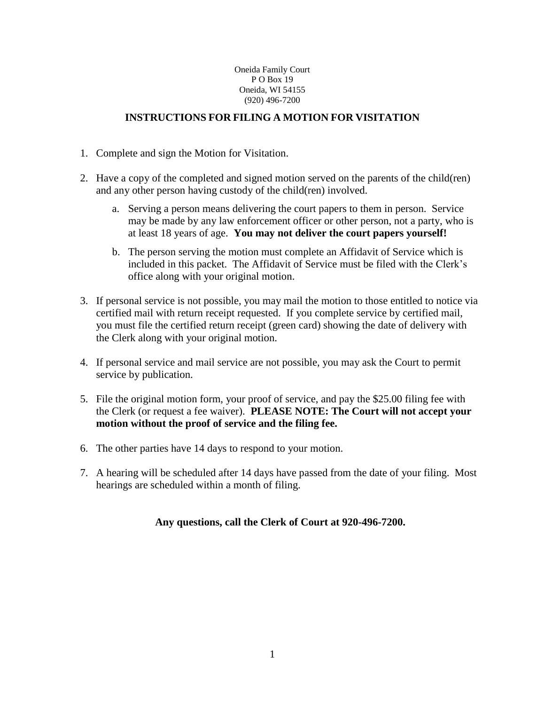## Oneida Family Court P O Box 19 Oneida, WI 54155 (920) 496-7200

## **INSTRUCTIONS FOR FILING A MOTION FOR VISITATION**

- 1. Complete and sign the Motion for Visitation.
- 2. Have a copy of the completed and signed motion served on the parents of the child(ren) and any other person having custody of the child(ren) involved.
	- a. Serving a person means delivering the court papers to them in person. Service may be made by any law enforcement officer or other person, not a party, who is at least 18 years of age. **You may not deliver the court papers yourself!**
	- b. The person serving the motion must complete an Affidavit of Service which is included in this packet. The Affidavit of Service must be filed with the Clerk's office along with your original motion.
- 3. If personal service is not possible, you may mail the motion to those entitled to notice via certified mail with return receipt requested. If you complete service by certified mail, you must file the certified return receipt (green card) showing the date of delivery with the Clerk along with your original motion.
- 4. If personal service and mail service are not possible, you may ask the Court to permit service by publication.
- 5. File the original motion form, your proof of service, and pay the \$25.00 filing fee with the Clerk (or request a fee waiver). **PLEASE NOTE: The Court will not accept your motion without the proof of service and the filing fee.**
- 6. The other parties have 14 days to respond to your motion.
- 7. A hearing will be scheduled after 14 days have passed from the date of your filing. Most hearings are scheduled within a month of filing.

## **Any questions, call the Clerk of Court at 920-496-7200.**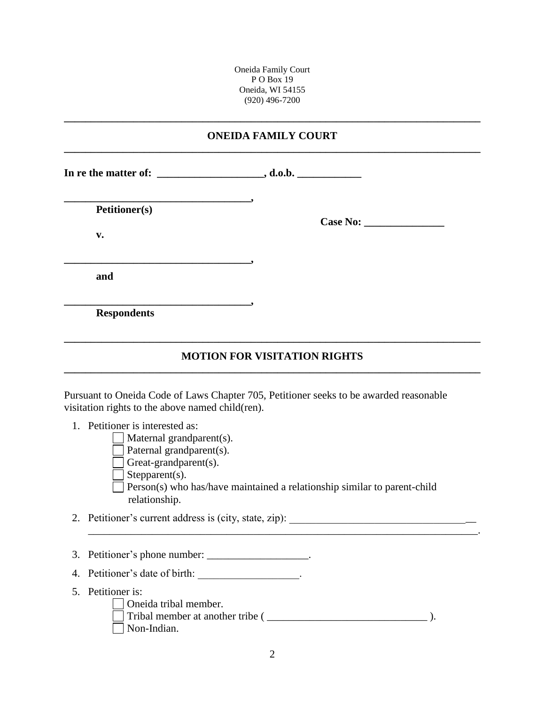Oneida Family Court PO Box 19 Oneida, WI 54155 (920) 496-7200

| <b>ONEIDA FAMILY COURT</b>                                                                                                                             |                                                                                        |  |  |  |  |
|--------------------------------------------------------------------------------------------------------------------------------------------------------|----------------------------------------------------------------------------------------|--|--|--|--|
|                                                                                                                                                        |                                                                                        |  |  |  |  |
| $\overline{\phantom{a}}$<br><b>Petitioner(s)</b><br>$\mathbf{v}$ .                                                                                     | Case No: 2008                                                                          |  |  |  |  |
| and                                                                                                                                                    |                                                                                        |  |  |  |  |
| $\overline{\phantom{a}}$<br><b>Respondents</b>                                                                                                         |                                                                                        |  |  |  |  |
|                                                                                                                                                        | <b>MOTION FOR VISITATION RIGHTS</b>                                                    |  |  |  |  |
| visitation rights to the above named child(ren).                                                                                                       | Pursuant to Oneida Code of Laws Chapter 705, Petitioner seeks to be awarded reasonable |  |  |  |  |
| 1. Petitioner is interested as:<br>Maternal grandparent(s).<br>Paternal grandparent(s).<br>Great-grandparent(s).<br>$Stepparent(s)$ .<br>relationship. | Person(s) who has/have maintained a relationship similar to parent-child               |  |  |  |  |
|                                                                                                                                                        | 2. Petitioner's current address is (city, state, zip): _________________________       |  |  |  |  |

3. Petitioner's phone number:  $\frac{1}{\sqrt{1-\frac{1}{2}}}\cdot$ 

4. Petitioner's date of birth: \_\_\_\_\_\_\_\_\_\_\_\_\_\_\_\_\_\_\_.

- 5. Petitioner is:
	- Oneida tribal member.
	- Tribal member at another tribe ( \_\_\_\_\_\_\_\_\_\_\_\_\_\_\_\_\_\_\_\_\_\_\_\_\_\_\_\_\_\_ ). Non-Indian.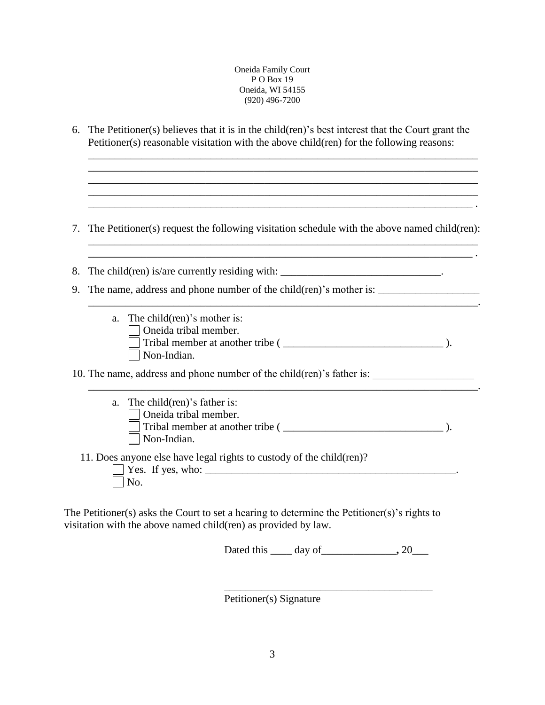Oneida Family Court P O Box 19 Oneida, WI 54155 (920) 496-7200

| 6. The Petitioner(s) believes that it is in the child(ren)'s best interest that the Court grant the |
|-----------------------------------------------------------------------------------------------------|
| Petitioner(s) reasonable visitation with the above child(ren) for the following reasons:            |

\_\_\_\_\_\_\_\_\_\_\_\_\_\_\_\_\_\_\_\_\_\_\_\_\_\_\_\_\_\_\_\_\_\_\_\_\_\_\_\_\_\_\_\_\_\_\_\_\_\_\_\_\_\_\_\_\_\_\_\_\_\_\_\_\_\_\_\_\_\_\_\_\_ \_\_\_\_\_\_\_\_\_\_\_\_\_\_\_\_\_\_\_\_\_\_\_\_\_\_\_\_\_\_\_\_\_\_\_\_\_\_\_\_\_\_\_\_\_\_\_\_\_\_\_\_\_\_\_\_\_\_\_\_\_\_\_\_\_\_\_\_\_\_\_\_\_

\_\_\_\_\_\_\_\_\_\_\_\_\_\_\_\_\_\_\_\_\_\_\_\_\_\_\_\_\_\_\_\_\_\_\_\_\_\_\_\_\_\_\_\_\_\_\_\_\_\_\_\_\_\_\_\_\_\_\_\_\_\_\_\_\_\_\_\_\_\_\_\_\_

 $\mathcal{L}_\mathcal{L} = \mathcal{L}_\mathcal{L} = \mathcal{L}_\mathcal{L} = \mathcal{L}_\mathcal{L} = \mathcal{L}_\mathcal{L} = \mathcal{L}_\mathcal{L} = \mathcal{L}_\mathcal{L} = \mathcal{L}_\mathcal{L} = \mathcal{L}_\mathcal{L} = \mathcal{L}_\mathcal{L} = \mathcal{L}_\mathcal{L} = \mathcal{L}_\mathcal{L} = \mathcal{L}_\mathcal{L} = \mathcal{L}_\mathcal{L} = \mathcal{L}_\mathcal{L} = \mathcal{L}_\mathcal{L} = \mathcal{L}_\mathcal{L}$ 

 $\mathcal{L}_\mathcal{L} = \mathcal{L}_\mathcal{L} = \mathcal{L}_\mathcal{L} = \mathcal{L}_\mathcal{L} = \mathcal{L}_\mathcal{L} = \mathcal{L}_\mathcal{L} = \mathcal{L}_\mathcal{L} = \mathcal{L}_\mathcal{L} = \mathcal{L}_\mathcal{L} = \mathcal{L}_\mathcal{L} = \mathcal{L}_\mathcal{L} = \mathcal{L}_\mathcal{L} = \mathcal{L}_\mathcal{L} = \mathcal{L}_\mathcal{L} = \mathcal{L}_\mathcal{L} = \mathcal{L}_\mathcal{L} = \mathcal{L}_\mathcal{L}$ 

7. The Petitioner(s) request the following visitation schedule with the above named child(ren):

\_\_\_\_\_\_\_\_\_\_\_\_\_\_\_\_\_\_\_\_\_\_\_\_\_\_\_\_\_\_\_\_\_\_\_\_\_\_\_\_\_\_\_\_\_\_\_\_\_\_\_\_\_\_\_\_\_\_\_\_\_\_\_\_\_\_\_\_\_\_\_\_\_

8. The child(ren) is/are currently residing with:

9. The name, address and phone number of the child(ren)'s mother is:  $\frac{1}{\sqrt{1-\frac{1}{n}}}\left| \frac{1}{n} \right|$ 

a. The child(ren)'s mother is: Oneida tribal member. Tribal member at another tribe ( \_\_\_\_\_\_\_\_\_\_\_\_\_\_\_\_\_\_\_\_\_\_\_\_\_\_\_\_\_\_ ). Non-Indian.

\_\_\_\_\_\_\_\_\_\_\_\_\_\_\_\_\_\_\_\_\_\_\_\_\_\_\_\_\_\_\_\_\_\_\_\_\_\_\_\_\_\_\_\_\_\_\_\_\_\_\_\_\_\_\_\_\_\_\_\_\_\_\_\_\_\_\_\_\_\_\_\_\_.

10. The name, address and phone number of the child(ren)'s father is:

| a. The child (ren)'s father is:<br>$\Box$ Oneida tribal member.              |  |
|------------------------------------------------------------------------------|--|
| $\Box$ Tribal member at another tribe ( $\Box$<br>$\blacksquare$ Non-Indian. |  |
| 11. Does anyone else have legal rights to custody of the child (ren)?        |  |

\_\_\_\_\_\_\_\_\_\_\_\_\_\_\_\_\_\_\_\_\_\_\_\_\_\_\_\_\_\_\_\_\_\_\_\_\_\_\_\_\_\_\_\_\_\_\_\_\_\_\_\_\_\_\_\_\_\_\_\_\_\_\_\_\_\_\_\_\_\_\_\_\_.

| $\mathbf{r}$ is only that there is a second to the control of the third $(\mathbf{r}, \mathbf{r})$ . |  |  |
|------------------------------------------------------------------------------------------------------|--|--|
| <sup><math>\frac{1}{2}</math></sup> Yes. If yes, who:                                                |  |  |
|                                                                                                      |  |  |
|                                                                                                      |  |  |
|                                                                                                      |  |  |

The Petitioner(s) asks the Court to set a hearing to determine the Petitioner(s)'s rights to visitation with the above named child(ren) as provided by law.

Dated this \_\_\_\_ day of\_\_\_\_\_\_\_\_\_\_\_\_\_\_**,** 20\_\_\_

\_\_\_\_\_\_\_\_\_\_\_\_\_\_\_\_\_\_\_\_\_\_\_\_\_\_\_\_\_\_\_\_\_\_\_\_\_\_\_ Petitioner(s) Signature